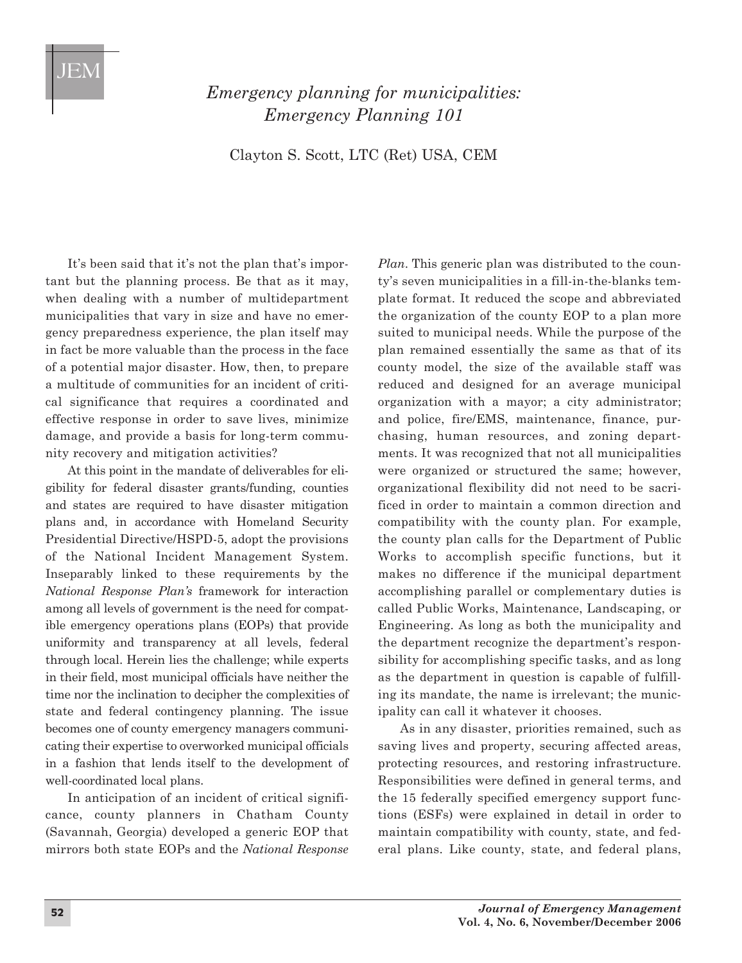## JEM

## *Emergency planning for municipalities: Emergency Planning 101*

Clayton S. Scott, LTC (Ret) USA, CEM

It's been said that it's not the plan that's important but the planning process. Be that as it may, when dealing with a number of multidepartment municipalities that vary in size and have no emergency preparedness experience, the plan itself may in fact be more valuable than the process in the face of a potential major disaster. How, then, to prepare a multitude of communities for an incident of critical significance that requires a coordinated and effective response in order to save lives, minimize damage, and provide a basis for long-term community recovery and mitigation activities?

At this point in the mandate of deliverables for eligibility for federal disaster grants/funding, counties and states are required to have disaster mitigation plans and, in accordance with Homeland Security Presidential Directive/HSPD-5, adopt the provisions of the National Incident Management System. Inseparably linked to these requirements by the *National Response Plan's* framework for interaction among all levels of government is the need for compatible emergency operations plans (EOPs) that provide uniformity and transparency at all levels, federal through local. Herein lies the challenge; while experts in their field, most municipal officials have neither the time nor the inclination to decipher the complexities of state and federal contingency planning. The issue becomes one of county emergency managers communicating their expertise to overworked municipal officials in a fashion that lends itself to the development of well-coordinated local plans.

In anticipation of an incident of critical significance, county planners in Chatham County (Savannah, Georgia) developed a generic EOP that mirrors both state EOPs and the *National Response*

*Plan*. This generic plan was distributed to the county's seven municipalities in a fill-in-the-blanks template format. It reduced the scope and abbreviated the organization of the county EOP to a plan more suited to municipal needs. While the purpose of the plan remained essentially the same as that of its county model, the size of the available staff was reduced and designed for an average municipal organization with a mayor; a city administrator; and police, fire/EMS, maintenance, finance, purchasing, human resources, and zoning departments. It was recognized that not all municipalities were organized or structured the same; however, organizational flexibility did not need to be sacrificed in order to maintain a common direction and compatibility with the county plan. For example, the county plan calls for the Department of Public Works to accomplish specific functions, but it makes no difference if the municipal department accomplishing parallel or complementary duties is called Public Works, Maintenance, Landscaping, or Engineering. As long as both the municipality and the department recognize the department's responsibility for accomplishing specific tasks, and as long as the department in question is capable of fulfilling its mandate, the name is irrelevant; the municipality can call it whatever it chooses.

As in any disaster, priorities remained, such as saving lives and property, securing affected areas, protecting resources, and restoring infrastructure. Responsibilities were defined in general terms, and the 15 federally specified emergency support functions (ESFs) were explained in detail in order to maintain compatibility with county, state, and federal plans. Like county, state, and federal plans,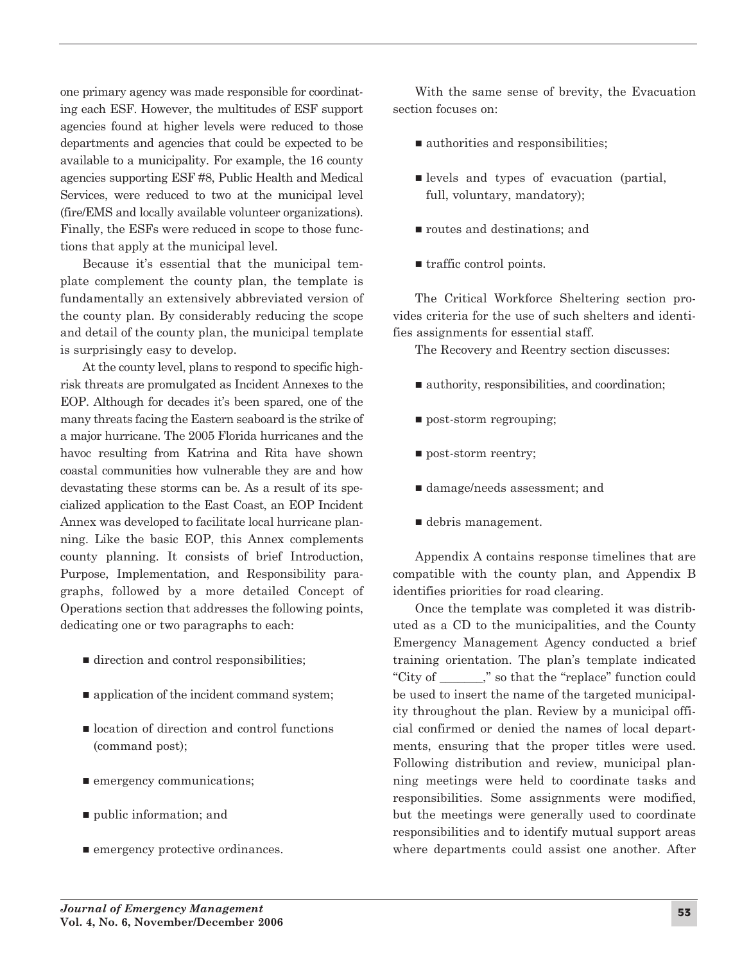one primary agency was made responsible for coordinating each ESF. However, the multitudes of ESF support agencies found at higher levels were reduced to those departments and agencies that could be expected to be available to a municipality. For example, the 16 county agencies supporting ESF #8, Public Health and Medical Services, were reduced to two at the municipal level (fire/EMS and locally available volunteer organizations). Finally, the ESFs were reduced in scope to those functions that apply at the municipal level.

Because it's essential that the municipal template complement the county plan, the template is fundamentally an extensively abbreviated version of the county plan. By considerably reducing the scope and detail of the county plan, the municipal template is surprisingly easy to develop.

At the county level, plans to respond to specific highrisk threats are promulgated as Incident Annexes to the EOP. Although for decades it's been spared, one of the many threats facing the Eastern seaboard is the strike of a major hurricane. The 2005 Florida hurricanes and the havoc resulting from Katrina and Rita have shown coastal communities how vulnerable they are and how devastating these storms can be. As a result of its specialized application to the East Coast, an EOP Incident Annex was developed to facilitate local hurricane planning. Like the basic EOP, this Annex complements county planning. It consists of brief Introduction, Purpose, Implementation, and Responsibility paragraphs, followed by a more detailed Concept of Operations section that addresses the following points, dedicating one or two paragraphs to each:

- $\blacksquare$  direction and control responsibilities;
- $\blacksquare$  application of the incident command system;
- $\blacksquare$  location of direction and control functions (command post);
- $\blacksquare$  emergency communications;
- $\blacksquare$  public information; and
- $\blacksquare$  emergency protective ordinances.

With the same sense of brevity, the Evacuation section focuses on:

- $\blacksquare$  authorities and responsibilities;
- $\blacksquare$  levels and types of evacuation (partial, full, voluntary, mandatory);
- $\blacksquare$  routes and destinations; and
- traffic control points.

The Critical Workforce Sheltering section provides criteria for the use of such shelters and identifies assignments for essential staff.

The Recovery and Reentry section discusses:

- $\blacksquare$  authority, responsibilities, and coordination;
- n post-storm regrouping;
- $\blacksquare$  post-storm reentry;
- damage/needs assessment; and
- debris management.

Appendix A contains response timelines that are compatible with the county plan, and Appendix B identifies priorities for road clearing.

Once the template was completed it was distributed as a CD to the municipalities, and the County Emergency Management Agency conducted a brief training orientation. The plan's template indicated "City of \_\_\_\_\_\_\_," so that the "replace" function could be used to insert the name of the targeted municipality throughout the plan. Review by a municipal official confirmed or denied the names of local departments, ensuring that the proper titles were used. Following distribution and review, municipal planning meetings were held to coordinate tasks and responsibilities. Some assignments were modified, but the meetings were generally used to coordinate responsibilities and to identify mutual support areas where departments could assist one another. After